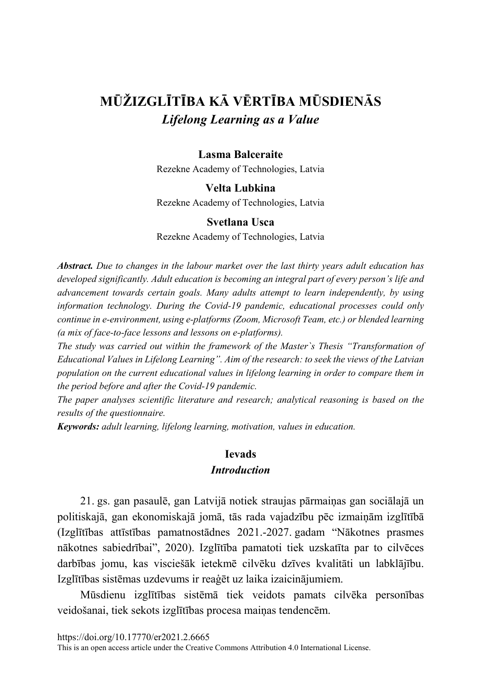# MŪŽIZGLĪTĪBA KĀ VĒRTĪBA MŪSDIENĀS Lifelong Learning as a Value

### **Lasma Balceraite**

Rezekne Academy of Technologies, Latvia

#### **Velta Lubkina**

Rezekne Academy of Technologies, Latvia

#### Svetlana Usca

Rezekne Academy of Technologies, Latvia

**Abstract.** Due to changes in the labour market over the last thirty years adult education has developed significantly. Adult education is becoming an integral part of every person's life and advancement towards certain goals. Many adults attempt to learn independently, by using information technology. During the Covid-19 pandemic, educational processes could only continue in e-environment, using e-platforms (Zoom, Microsoft Team, etc.) or blended learning (a mix of face-to-face lessons and lessons on e-platforms).

The study was carried out within the framework of the Master's Thesis "Transformation of Educational Values in Lifelong Learning". Aim of the research: to seek the views of the Latvian population on the current educational values in lifelong learning in order to compare them in the period before and after the Covid-19 pandemic.

The paper analyses scientific literature and research; analytical reasoning is based on the results of the questionnaire.

**Keywords:** adult learning, lifelong learning, motivation, values in education.

### **Ievads Introduction**

21. gs. gan pasaulē, gan Latvijā notiek straujas pārmainas gan sociālajā un politiskajā, gan ekonomiskajā jomā, tās rada vajadzību pēc izmaiņām izglītībā (Izglītības attīstības pamatnostādnes 2021.-2027. gadam "Nākotnes prasmes nākotnes sabiedrībai", 2020). Izglītība pamatoti tiek uzskatīta par to cilvēces darbības jomu, kas visciešāk ietekmē cilvēku dzīves kvalitāti un labklājību. Izglītības sistēmas uzdevums ir reaģēt uz laika izaicinājumiem.

Mūsdienu izglītības sistēmā tiek veidots pamats cilvēka personības veidošanai, tiek sekots izglītības procesa maiņas tendencēm.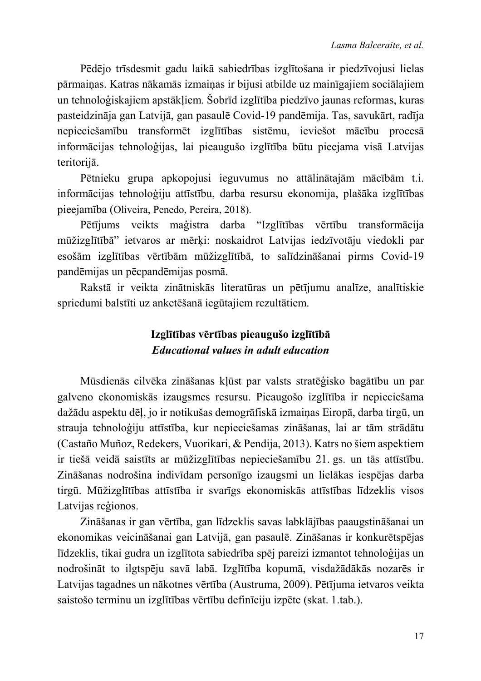Pēdējo trīsdesmit gadu laikā sabiedrības izglītošana ir piedzīvojusi lielas pārmaiņas. Katras nākamās izmaiņas ir bijusi atbilde uz mainīgajiem sociālajiem un tehnoloģiskajiem apstākļiem. Šobrīd izglītība piedzīvo jaunas reformas, kuras pasteidzināja gan Latvijā, gan pasaulē Covid-19 pandēmija. Tas, savukārt, radīja nepieciešamību transformēt izglītības sistēmu, ieviešot mācību procesā informācijas tehnoloģijas, lai pieaugušo izglītība būtu pieejama visā Latvijas teritorijā.

Pētnieku grupa apkopojusi ieguvumus no attālinātajām mācībām t.i. informācijas tehnoloģiju attīstību, darba resursu ekonomija, plašāka izglītības pieejamība (Oliveira, Penedo, Pereira, 2018).

Pētījums veikts maģistra darba "Izglītības vērtību transformācija mūžizglītībā" ietvaros ar mērķi: noskaidrot Latvijas iedzīvotāju viedokli par esošām izglītības vērtībām mūžizglītībā, to salīdzināšanai pirms Covid-19 pandēmijas un pēcpandēmijas posmā.

Rakstā ir veikta zinātniskās literatūras un pētījumu analīze, analītiskie spriedumi balstīti uz anketēšanā iegūtajiem rezultātiem.

# Izglītības vērtības pieaugušo izglītībā **Educational values in adult education**

Mūsdienās cilvēka zināšanas kļūst par valsts stratēģisko bagātību un par galveno ekonomiskās izaugsmes resursu. Pieaugošo izglītība ir nepieciešama dažādu aspektu dēļ, jo ir notikušas demogrāfiskā izmaiņas Eiropā, darba tirgū, un strauja tehnoloģiju attīstība, kur nepieciešamas zināšanas, lai ar tām strādātu (Castaño Muñoz, Redekers, Vuorikari, & Pendija, 2013). Katrs no šiem aspektiem ir tiešā veidā saistīts ar mūžizglītības nepieciešamību 21. gs. un tās attīstību. Zināšanas nodrošina indivīdam personīgo izaugsmi un lielākas iespējas darba tirgū. Mūžizglītības attīstība ir svarīgs ekonomiskās attīstības līdzeklis visos Latvijas reģionos.

Zināšanas ir gan vērtība, gan līdzeklis savas labklājības paaugstināšanai un ekonomikas veicināšanai gan Latvijā, gan pasaulē. Zināšanas ir konkurētspējas līdzeklis, tikai gudra un izglītota sabiedrība spēj pareizi izmantot tehnoloģijas un nodrošināt to ilgtspēju savā labā. Izglītība kopumā, visdažādākās nozarēs ir Latvijas tagadnes un nākotnes vērtība (Austruma, 2009). Pētījuma ietvaros veikta saistošo terminu un izglītības vērtību definīciju izpēte (skat. 1.tab.).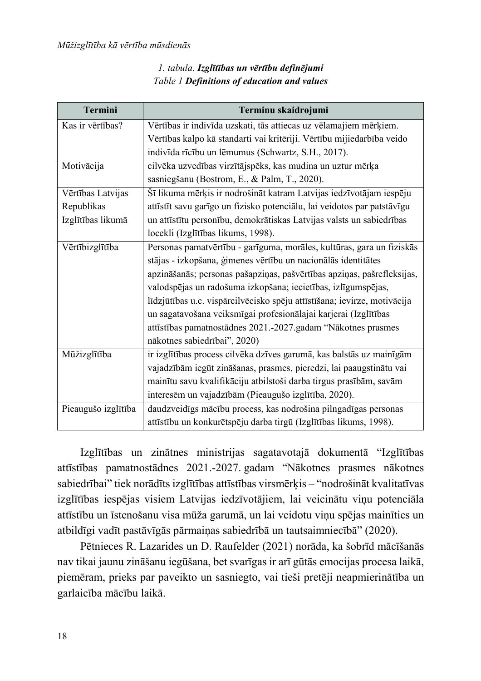### 1. tabula. Izglītības un vērtību definējumi Table 1 Definitions of education and values

| <b>Termini</b>      | Terminu skaidrojumi                                                      |
|---------------------|--------------------------------------------------------------------------|
| Kas ir vērtības?    | Vērtības ir indivīda uzskati, tās attiecas uz vēlamajiem mērķiem.        |
|                     | Vērtības kalpo kā standarti vai kritēriji. Vērtību mijiedarbība veido    |
|                     | indivīda rīcību un lēmumus (Schwartz, S.H., 2017).                       |
| Motivācija          | cilvēka uzvedības virzītājspēks, kas mudina un uztur mērķa               |
|                     | sasniegšanu (Bostrom, E., & Palm, T., 2020).                             |
| Vērtības Latvijas   | Šī likuma mērķis ir nodrošināt katram Latvijas iedzīvotājam iespēju      |
| Republikas          | attīstīt savu garīgo un fizisko potenciālu, lai veidotos par patstāvīgu  |
| Izglītības likumā   | un attīstītu personību, demokrātiskas Latvijas valsts un sabiedrības     |
|                     | locekli (Izglītības likums, 1998).                                       |
| Vērtībizglītība     | Personas pamatvērtību - garīguma, morāles, kultūras, gara un fiziskās    |
|                     | stājas - izkopšana, ģimenes vērtību un nacionālās identitātes            |
|                     | apzināšanās; personas pašapziņas, pašvērtības apziņas, pašrefleksijas,   |
|                     | valodspējas un radošuma izkopšana; iecietības, izlīgumspējas,            |
|                     | līdzjūtības u.c. vispārcilvēcisko spēju attīstīšana; ievirze, motivācija |
|                     | un sagatavošana veiksmīgai profesionālajai karjerai (Izglītības          |
|                     | attīstības pamatnostādnes 2021.-2027.gadam "Nākotnes prasmes             |
|                     | nākotnes sabiedrībai", 2020)                                             |
| Mūžizglītība        | ir izglītības process cilvēka dzīves garumā, kas balstās uz mainīgām     |
|                     | vajadzībām iegūt zināšanas, prasmes, pieredzi, lai paaugstinātu vai      |
|                     | mainītu savu kvalifikāciju atbilstoši darba tirgus prasībām, savām       |
|                     | interesēm un vajadzībām (Pieaugušo izglītība, 2020).                     |
| Pieaugušo izglītība | daudzveidīgs mācību process, kas nodrošina pilngadīgas personas          |
|                     | attīstību un konkurētspēju darba tirgū (Izglītības likums, 1998).        |

Izglītības un zinātnes ministrijas sagatavotajā dokumentā "Izglītības attīstības pamatnostādnes 2021.-2027. gadam "Nākotnes prasmes nākotnes sabiedrībai" tiek norādīts izglītības attīstības virsmērķis - "nodrošināt kvalitatīvas izglītības iespējas visiem Latvijas iedzīvotājiem, lai veicinātu viņu potenciāla attīstību un īstenošanu visa mūža garumā, un lai veidotu viņu spējas mainīties un atbildīgi vadīt pastāvīgās pārmaiņas sabiedrībā un tautsaimniecībā" (2020).

Pētnieces R. Lazarides un D. Raufelder (2021) norāda, ka šobrīd mācīšanās nav tikai jaunu zināšanu iegūšana, bet svarīgas ir arī gūtās emocijas procesa laikā, piemēram, prieks par paveikto un sasniegto, vai tieši pretēji neapmierinātība un garlaicība mācību laikā.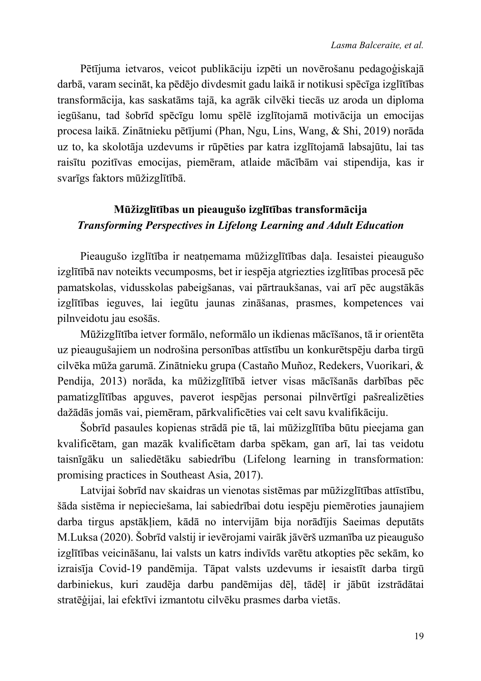Pētījuma ietvaros, veicot publikāciju izpēti un novērošanu pedagoģiskajā darbā, varam secināt, ka pēdējo divdesmit gadu laikā ir notikusi spēcīga izglītības transformācija, kas saskatāms tajā, ka agrāk cilvēki tiecās uz aroda un diploma iegūšanu, tad šobrīd spēcīgu lomu spēlē izglītojamā motivācija un emocijas procesa laikā. Zinātnieku pētījumi (Phan, Ngu, Lins, Wang, & Shi, 2019) norāda uz to, ka skolotāja uzdevums ir rūpēties par katra izglītojamā labsajūtu, lai tas raisītu pozitīvas emocijas, piemēram, atlaide mācībām vai stipendija, kas ir svarīgs faktors mūžizglītībā.

## Mūžizglītības un pieaugušo izglītības transformācija **Transforming Perspectives in Lifelong Learning and Adult Education**

Pieaugušo izglītība ir neatnemama mūžizglītības daļa. Iesaistei pieaugušo izglītībā nav noteikts vecumposms, bet ir iespēja atgriezties izglītības procesā pēc pamatskolas, vidusskolas pabeigšanas, vai pārtraukšanas, vai arī pēc augstākās izglītības ieguves, lai iegūtu jaunas zināšanas, prasmes, kompetences vai pilnveidotu jau esošās.

Mūžizglītība ietver formālo, neformālo un ikdienas mācīšanos, tā ir orientēta uz pieaugušajiem un nodrošina personības attīstību un konkurētspēju darba tirgū cilvēka mūža garumā. Zinātnieku grupa (Castaño Muñoz, Redekers, Vuorikari, & Pendija, 2013) norāda, ka mūžizglītībā ietver visas mācīšanās darbības pēc pamatizglītības apguves, paverot iespējas personai pilnvērtīgi pašrealizēties dažādās jomās vai, piemēram, pārkvalificēties vai celt savu kvalifikāciju.

Šobrīd pasaules kopienas strādā pie tā, lai mūžizglītība būtu pieejama gan kvalificētam, gan mazāk kvalificētam darba spēkam, gan arī, lai tas veidotu taisnīgāku un saliedētāku sabiedrību (Lifelong learning in transformation: promising practices in Southeast Asia, 2017).

Latvijai šobrīd nav skaidras un vienotas sistēmas par mūžizglītības attīstību, šāda sistēma ir nepieciešama, lai sabiedrībai dotu iespēju piemēroties jaunajiem darba tirgus apstākliem, kādā no intervijām bija norādījis Saeimas deputāts M. Luksa (2020). Šobrīd valstij ir ievērojami vairāk jāvērš uzmanība uz pieaugušo izglītības veicināšanu, lai valsts un katrs indivīds varētu atkopties pēc sekām, ko izraisīja Covid-19 pandēmija. Tāpat valsts uzdevums ir iesaistīt darba tirgū darbiniekus, kuri zaudēja darbu pandēmijas dēļ, tādēļ ir jābūt izstrādātai stratēģijai, lai efektīvi izmantotu cilvēku prasmes darba vietās.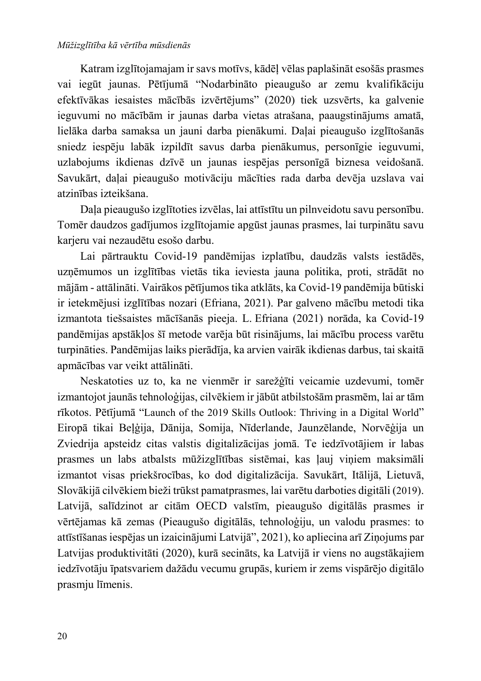#### Mūžizglītība kā vērtība mūsdienās

Katram izglītojamajam ir savs motīvs, kādēļ vēlas paplašināt esošās prasmes vai iegūt jaunas. Pētījumā "Nodarbināto pieaugušo ar zemu kvalifikāciju efektīvākas iesaistes mācībās izvērtējums" (2020) tiek uzsvērts, ka galvenie ieguvumi no mācībām ir jaunas darba vietas atrašana, paaugstinājums amatā, lielāka darba samaksa un jauni darba pienākumi. Daļai pieaugušo izglītošanās sniedz iespēju labāk izpildīt savus darba pienākumus, personīgie ieguvumi, uzlabojums ikdienas dzīvē un jaunas iespējas personīgā biznesa veidošanā. Savukārt, daļai pieaugušo motivāciju mācīties rada darba devēja uzslava vai atzinības izteikšana.

Daļa pieaugušo izglītoties izvēlas, lai attīstītu un pilnveidotu savu personību. Tomēr daudzos gadījumos izglītojamie apgūst jaunas prasmes, lai turpinātu savu karjeru vai nezaudētu esošo darbu.

Lai pārtrauktu Covid-19 pandēmijas izplatību, daudzās valsts iestādēs, uzņēmumos un izglītības vietās tika ieviesta jauna politika, proti, strādāt no mājām - attālināti. Vairākos pētījumos tika atklāts, ka Covid-19 pandēmija būtiski ir ietekmējusi izglītības nozari (Efriana, 2021). Par galveno mācību metodi tika izmantota tiešsaistes mācīšanās pieeja. L. Efriana (2021) norāda, ka Covid-19 pandēmijas apstāklos šī metode varēja būt risinājums, lai mācību process varētu turpināties. Pandēmijas laiks pierādīja, ka arvien vairāk ikdienas darbus, tai skaitā apmācības var veikt attālināti.

Neskatoties uz to, ka ne vienmēr ir sarežģīti veicamie uzdevumi, tomēr izmantojot jaunās tehnoloģijas, cilvēkiem ir jābūt atbilstošām prasmēm, lai ar tām rīkotos. Pētījumā "Launch of the 2019 Skills Outlook: Thriving in a Digital World" Eiropā tikai Beļģija, Dānija, Somija, Nīderlande, Jaunzēlande, Norvēģija un Zviedrija apsteidz citas valstis digitalizācijas jomā. Te iedzīvotājiem ir labas prasmes un labs atbalsts mūžizglītības sistēmai, kas lauj viniem maksimāli izmantot visas priekšrocības, ko dod digitalizācija. Savukārt, Itālijā, Lietuvā, Slovākijā cilvēkiem bieži trūkst pamatprasmes, lai varētu darboties digitāli (2019). Latvijā, salīdzinot ar citām OECD valstīm, pieaugušo digitālās prasmes ir vērtējamas kā zemas (Pieaugušo digitālās, tehnoloģiju, un valodu prasmes: to attīstīšanas iespējas un izaicinājumi Latvijā", 2021), ko apliecina arī Zinojums par Latvijas produktivitāti (2020), kurā secināts, ka Latvijā ir viens no augstākajiem iedzīvotāju īpatsvariem dažādu vecumu grupās, kuriem ir zems vispārējo digitālo prasmju līmenis.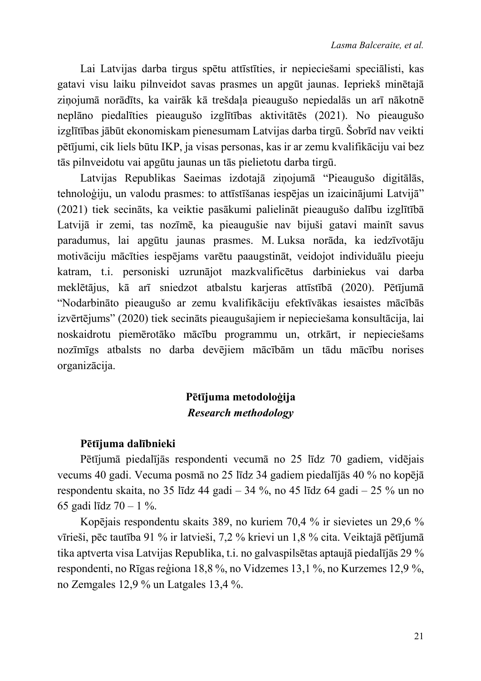Lai Latvijas darba tirgus spētu attīstīties, ir nepieciešami speciālisti, kas gatavi visu laiku pilnveidot savas prasmes un apgūt jaunas. Iepriekš minētajā ziņojumā norādīts, ka vairāk kā trešdaļa pieaugušo nepiedalās un arī nākotnē neplāno piedalīties pieaugušo izglītības aktivitātēs (2021). No pieaugušo izglītības jābūt ekonomiskam pienesumam Latvijas darba tirgū. Šobrīd nav veikti pētījumi, cik liels būtu IKP, ja visas personas, kas ir ar zemu kvalifikāciju vai bez tās pilnveidotu vai apgūtu jaunas un tās pielietotu darba tirgū.

Latvijas Republikas Saeimas izdotajā zinojumā "Pieaugušo digitālās, tehnoloģiju, un valodu prasmes: to attīstīšanas iespējas un izaicinājumi Latvijā" (2021) tiek secināts, ka veiktie pasākumi palielināt pieaugušo dalību izglītībā Latvijā ir zemi, tas nozīmē, ka pieaugušie nav bijuši gatavi mainīt savus paradumus, lai apgūtu jaunas prasmes. M. Luksa norāda, ka iedzīvotāju motivāciju mācīties iespējams varētu paaugstināt, veidojot individuālu pieeju katram, t.i. personiski uzrunājot mazkvalificētus darbiniekus vai darba meklētājus, kā arī sniedzot atbalstu karieras attīstībā (2020). Pētījumā "Nodarbināto pieaugušo ar zemu kvalifikāciju efektīvākas iesaistes mācībās izvērtējums" (2020) tiek secināts pieaugušajiem ir nepieciešama konsultācija, lai noskaidrotu piemērotāko mācību programmu un, otrkārt, ir nepieciešams nozīmīgs atbalsts no darba devējiem mācībām un tādu mācību norises organizācija.

# Pētījuma metodoloģija **Research methodology**

### Pētījuma dalībnieki

Pētījumā piedalījās respondenti vecumā no 25 līdz 70 gadiem, vidējais vecums 40 gadi. Vecuma posmā no 25 līdz 34 gadiem piedalījās 40 % no kopējā respondentu skaita, no 35 līdz 44 gadi  $-34$ %, no 45 līdz 64 gadi  $-25$ % un no 65 gadi līdz 70  $-1$  %.

Kopējais respondentu skaits 389, no kuriem 70,4 % ir sievietes un 29,6 % vīrieši, pēc tautība 91 % ir latvieši, 7,2 % krievi un 1,8 % cita. Veiktajā pētījumā tika aptverta visa Latvijas Republika, t.i. no galvaspilsētas aptaujā piedalījās 29 % respondenti, no Rīgas reģiona 18,8%, no Vidzemes 13,1%, no Kurzemes 12,9%, no Zemgales 12,9 % un Latgales 13,4 %.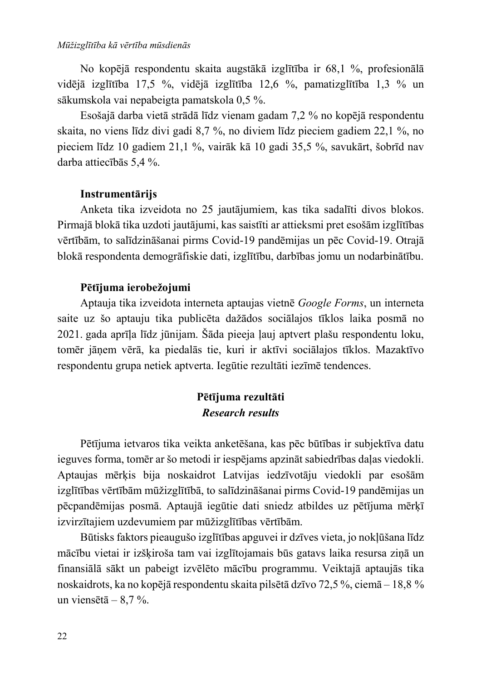No kopējā respondentu skaita augstākā izglītība ir 68,1 %, profesionālā vidējā izglītība 17,5 %, vidējā izglītība 12,6 %, pamatizglītība 1,3 % un sākumskola vai nepabeigta pamatskola 0,5 %.

Esošajā darba vietā strādā līdz vienam gadam 7,2 % no kopējā respondentu skaita, no viens līdz divi gadi 8,7 %, no diviem līdz pieciem gadiem 22,1 %, no pieciem līdz 10 gadiem 21,1 %, vairāk kā 10 gadi 35,5 %, savukārt, šobrīd nav darba attiecībās 5,4 %.

#### Instrumentārijs

Anketa tika izveidota no 25 jautājumiem, kas tika sadalīti divos blokos. Pirmajā blokā tika uzdoti jautājumi, kas saistīti ar attieksmi pret esošām izglītības vērtībām, to salīdzināšanai pirms Covid-19 pandēmijas un pēc Covid-19. Otrajā blokā respondenta demogrāfiskie dati, izglītību, darbības jomu un nodarbinātību.

#### Pētījuma ierobežojumi

Aptauja tika izveidota interneta aptaujas vietnē Google Forms, un interneta saite uz šo aptauju tika publicēta dažādos sociālajos tīklos laika posmā no 2021. gada aprīla līdz jūnijam. Šāda pieeja lauj aptvert plašu respondentu loku, tomēr jānem vērā, ka piedalās tie, kuri ir aktīvi sociālajos tīklos. Mazaktīvo respondentu grupa netiek aptverta. Iegūtie rezultāti iezīmē tendences.

### Pētījuma rezultāti **Research results**

Pētījuma ietvaros tika veikta anketēšana, kas pēc būtības ir subjektīva datu ieguves forma, tomēr ar šo metodi ir iespējams apzināt sabiedrības daļas viedokli. Aptaujas mērķis bija noskaidrot Latvijas iedzīvotāju viedokli par esošām izglītības vērtībām mūžizglītībā, to salīdzināšanai pirms Covid-19 pandēmijas un pēcpandēmijas posmā. Aptaujā iegūtie dati sniedz atbildes uz pētījuma mērķī izvirzītajiem uzdevumiem par mūžizglītības vērtībām.

Būtisks faktors pieaugušo izglītības apguvei ir dzīves vieta, jo nokļūšana līdz mācību vietai ir izšķiroša tam vai izglītojamais būs gatavs laika resursa ziņā un finansiālā sākt un pabeigt izvēlēto mācību programmu. Veiktajā aptaujās tika noskaidrots, ka no kopējā respondentu skaita pilsētā dzīvo 72,5%, ciemā – 18,8% un viensētā  $-8.7$ %.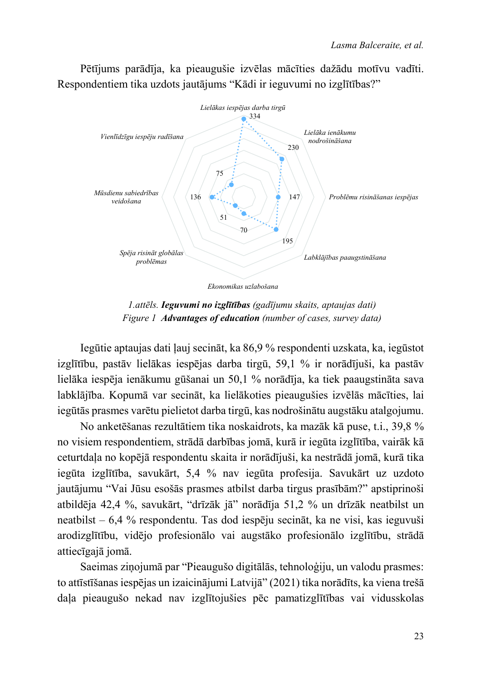Pētījums parādīja, ka pieaugušie izvēlas mācīties dažādu motīvu vadīti. Respondentiem tika uzdots jautājums "Kādi ir ieguvumi no izglītības?"



1. attēls. Ieguvumi no izglītības (gadījumu skaits, aptaujas dati) Figure 1 Advantages of education (number of cases, survey data)

Iegūtie aptaujas dati ļauj secināt, ka 86,9 % respondenti uzskata, ka, iegūstot izglītību, pastāv lielākas iespējas darba tirgū, 59,1 % ir norādījuši, ka pastāv lielāka iespēja ienākumu gūšanai un 50,1 % norādīja, ka tiek paaugstināta sava labklājība. Kopumā var secināt, ka lielākoties pieaugušies izvēlās mācīties, lai iegūtās prasmes varētu pielietot darba tirgū, kas nodrošinātu augstāku atalgojumu.

No anketēšanas rezultātiem tika noskaidrots, ka mazāk kā puse, t.i., 39,8 % no visiem respondentiem, strādā darbības jomā, kurā ir iegūta izglītība, vairāk kā ceturtdala no kopējā respondentu skaita ir norādījuši, ka nestrādā jomā, kurā tika iegūta izglītība, savukārt, 5,4 % nav iegūta profesija. Savukārt uz uzdoto jautājumu "Vai Jūsu esošās prasmes atbilst darba tirgus prasībām?" apstiprinoši atbildēja 42,4 %, savukārt, "drīzāk jā" norādīja 51,2 % un drīzāk neatbilst un neatbilst – 6,4 % respondentu. Tas dod iespēju secināt, ka ne visi, kas ieguvuši arodizglītību, vidējo profesionālo vai augstāko profesionālo izglītību, strādā attiecīgajā jomā.

Saeimas zinojumā par "Pieaugušo digitālās, tehnoloģiju, un valodu prasmes: to attīstīšanas iespējas un izaicinājumi Latvijā" (2021) tika norādīts, ka viena trešā dala pieaugušo nekad nav izglītojušies pēc pamatizglītības vai vidusskolas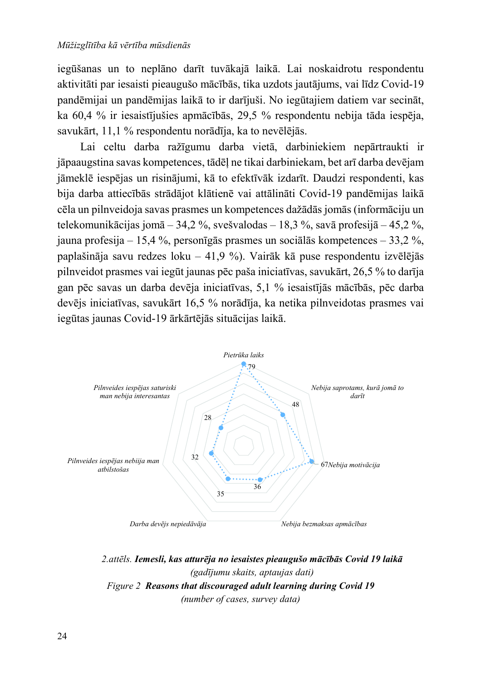#### Mūžizglītība kā vērtība mūsdienās

iegūšanas un to neplāno darīt tuvākajā laikā. Lai noskaidrotu respondentu aktivitāti par iesaisti pieaugušo mācībās, tika uzdots jautājums, vai līdz Covid-19 pandēmijai un pandēmijas laikā to ir darījuši. No iegūtajiem datiem var secināt, ka 60,4 % ir iesaistījušies apmācībās, 29,5 % respondentu nebija tāda iespēja, savukārt, 11,1 % respondentu norādīja, ka to nevēlējās.

Lai celtu darba ražīgumu darba vietā, darbiniekiem nepārtraukti ir jāpaaugstina savas kompetences, tādēļ ne tikai darbiniekam, bet arī darba devējam jāmekļē iespējas un risinājumi, kā to efektīvāk izdarīt. Daudzi respondenti, kas bija darba attiecībās strādājot klātienē vai attālināti Covid-19 pandēmijas laikā cēla un pilnveidoja savas prasmes un kompetences dažādās jomās (informāciju un telekomunikācijas jomā - 34,2 %, svešvalodas - 18,3 %, savā profesijā - 45,2 %, jauna profesija – 15,4 %, personīgās prasmes un sociālās kompetences – 33,2 %, paplašināja savu redzes loku - 41,9 %). Vairāk kā puse respondentu izvēlējās pilnveidot prasmes vai iegūt jaunas pēc paša iniciatīvas, savukārt, 26,5 % to darīja gan pēc savas un darba devēja iniciatīvas, 5,1 % iesaistījās mācībās, pēc darba devējs iniciatīvas, savukārt 16,5 % norādīja, ka netika pilnveidotas prasmes vai iegūtas jaunas Covid-19 ārkārtējās situācijas laikā.



2. attēls. Iemesli, kas atturēja no iesaistes pieaugušo mācībās Covid 19 laikā (gadījumu skaits, aptaujas dati) Figure 2 Reasons that discouraged adult learning during Covid 19 (number of cases, survey data)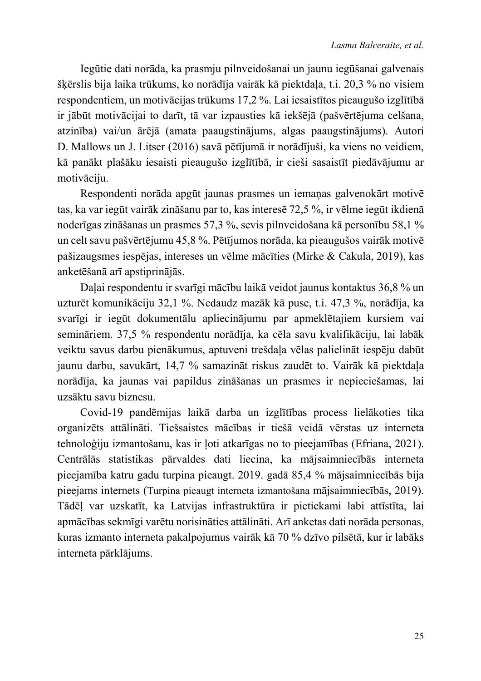Iegūtie dati norāda, ka prasmju pilnveidošanai un jaunu iegūšanai galvenais škērslis bija laika trūkums, ko norādīja vairāk kā piektdala, t.i. 20,3 % no visiem respondentiem, un motivācijas trūkums 17,2%. Lai iesaistītos pieaugušo izglītībā ir jābūt motivācijai to darīt, tā var izpausties kā iekšējā (pašvērtējuma celšana, atzinība) vai/un ārējā (amata paaugstinājums, algas paaugstinājums). Autori D. Mallows un J. Litser (2016) savā pētījumā ir norādījuši, ka viens no veidiem, kā panākt plašāku iesaisti pieaugušo izglītībā, ir cieši sasaistīt piedāvājumu ar motivāciju.

Respondenti norāda apgūt jaunas prasmes un iemanas galvenokārt motivē tas, ka var iegūt vairāk zināšanu par to, kas interesē 72,5%, ir vēlme iegūt ikdienā noderīgas zināšanas un prasmes 57,3%, sevis pilnveidošana kā personību 58,1% un celt savu pašvērtējumu 45,8 %. Pētījumos norāda, ka pieaugušos vairāk motivē pašizaugsmes iespējas, intereses un vēlme mācīties (Mirke & Cakula, 2019), kas anketēšanā arī apstiprinājās.

Dalai respondentu ir svarīgi mācību laikā veidot jaunus kontaktus 36,8 % un uzturēt komunikāciju 32,1 %. Nedaudz mazāk kā puse, t.i. 47,3 %, norādīja, ka svarīgi ir iegūt dokumentālu apliecinājumu par apmeklētajiem kursiem vai semināriem. 37,5 % respondentu norādīja, ka cēla savu kvalifikāciju, lai labāk veiktu savus darbu pienākumus, aptuveni trešdala vēlas palielināt iespēju dabūt jaunu darbu, savukārt, 14,7 % samazināt riskus zaudēt to. Vairāk kā piektdaļa norādīja, ka jaunas vai papildus zināšanas un prasmes ir nepieciešamas, lai uzsāktu savu biznesu.

Covid-19 pandēmijas laikā darba un izglītības process lielākoties tika organizēts attālināti. Tiešsaistes mācības ir tiešā veidā vērstas uz interneta tehnoloģiju izmantošanu, kas ir ļoti atkarīgas no to pieejamības (Efriana, 2021). Centrālās statistikas pārvaldes dati liecina, ka mājsaimniecībās interneta pieejamība katru gadu turpina pieaugt. 2019. gadā 85,4 % mājsaimniecībās bija pieejams internets (Turpina pieaugt interneta izmantošana mājsaimniecībās, 2019). Tādēļ var uzskatīt, ka Latvijas infrastruktūra ir pietiekami labi attīstīta, lai apmācības sekmīgi varētu norisināties attālināti. Arī anketas dati norāda personas, kuras izmanto interneta pakalpojumus vairāk kā 70 % dzīvo pilsētā, kur ir labāks interneta pārklājums.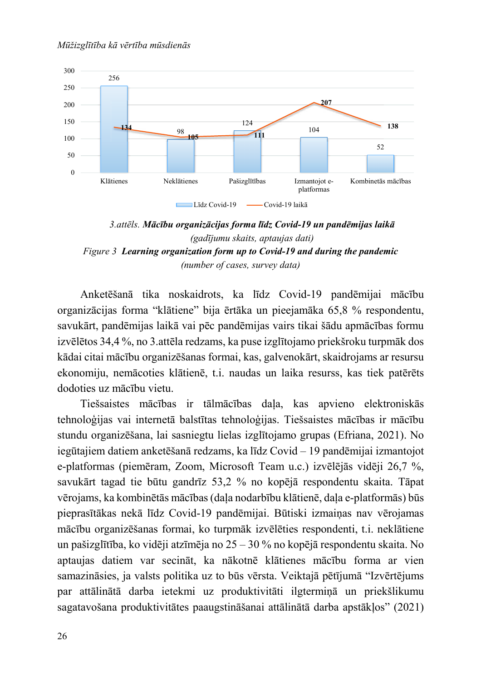

3. attēls. Mācību organizācijas forma līdz Covid-19 un pandēmijas laikā (gadījumu skaits, aptaujas dati) Figure 3 Learning organization form up to Covid-19 and during the pandemic (number of cases, survey data)

Anketēšanā tika noskaidrots, ka līdz Covid-19 pandēmijai mācību organizācijas forma "klātiene" bija ērtāka un pieejamāka 65,8 % respondentu, savukārt, pandēmijas laikā vai pēc pandēmijas vairs tikai šādu apmācības formu izvēlētos 34,4%, no 3. attēla redzams, ka puse izglītojamo priekšroku turpmāk dos kādai citai mācību organizēšanas formai, kas, galvenokārt, skaidrojams ar resursu ekonomiju, nemācoties klātienē, t.i. naudas un laika resurss, kas tiek patērēts dodoties uz mācību vietu.

Tiešsaistes mācības ir tālmācības dala, kas apvieno elektroniskās tehnoloģijas vai internetā balstītas tehnoloģijas. Tiešsaistes mācības ir mācību stundu organizēšana, lai sasniegtu lielas izglītojamo grupas (Efriana, 2021). No iegūtajiem datiem anketēšanā redzams, ka līdz Covid – 19 pandēmijai izmantojot e-platformas (piemēram, Zoom, Microsoft Team u.c.) izvēlējās vidēji 26,7 %, savukārt tagad tie būtu gandrīz 53,2 % no kopējā respondentu skaita. Tāpat vērojams, ka kombinētās mācības (daļa nodarbību klātienē, daļa e-platformās) būs pieprasītākas nekā līdz Covid-19 pandēmijai. Būtiski izmaiņas nav vērojamas mācību organizēšanas formai, ko turpmāk izvēlēties respondenti, t.i. neklātiene un pašizglītība, ko vidēji atzīmēja no  $25 - 30$  % no kopējā respondentu skaita. No aptaujas datiem var secināt, ka nākotnē klātienes mācību forma ar vien samazināsies, ja valsts politika uz to būs vērsta. Veiktajā pētījumā "Izvērtējums" par attālinātā darba ietekmi uz produktivitāti ilgterminā un priekšlikumu sagatavošana produktivitātes paaugstināšanai attālinātā darba apstākļos" (2021)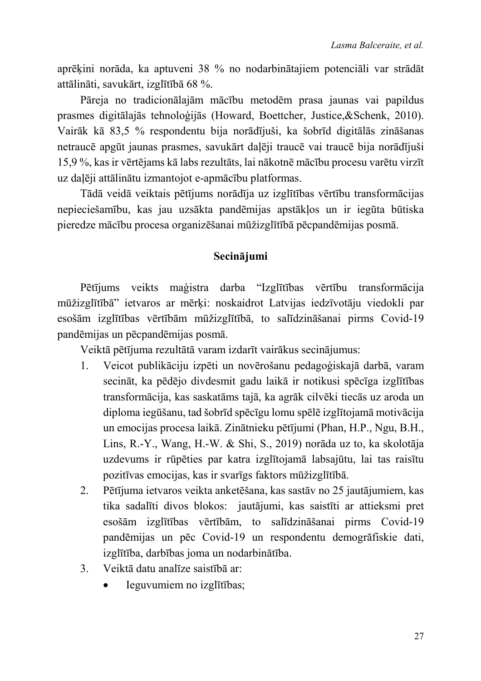aprēķini norāda, ka aptuveni 38 % no nodarbinātajiem potenciāli var strādāt attālināti, savukārt, izglītībā 68 %.

Pāreja no tradicionālajām mācību metodēm prasa jaunas vai papildus prasmes digitālajās tehnoloģijās (Howard, Boettcher, Justice, & Schenk, 2010). Vairāk kā 83,5 % respondentu bija norādījuši, ka šobrīd digitālās zināšanas netraucē apgūt jaunas prasmes, savukārt daļēji traucē vai traucē bija norādījuši 15,9%, kas ir vērtējams kā labs rezultāts, lai nākotnē mācību procesu varētu virzīt uz daļēji attālinātu izmantojot e-apmācību platformas.

Tādā veidā veiktais pētījums norādīja uz izglītības vērtību transformācijas nepieciešamību, kas jau uzsākta pandēmijas apstākļos un ir iegūta būtiska pieredze mācību procesa organizēšanai mūžizglītībā pēcpandēmijas posmā.

### Secinājumi

Pētījums veikts maģistra darba "Izglītības vērtību transformācija mūžizglītībā" ietvaros ar mērķi: noskaidrot Latvijas iedzīvotāju viedokli par esošām izglītības vērtībām mūžizglītībā, to salīdzināšanai pirms Covid-19 pandēmijas un pēcpandēmijas posmā.

Veiktā pētījuma rezultātā varam izdarīt vairākus secinājumus:

- Veicot publikāciju izpēti un novērošanu pedagoģiskajā darbā, varam 1. secināt, ka pēdējo divdesmit gadu laikā ir notikusi spēcīga izglītības transformācija, kas saskatāms tajā, ka agrāk cilvēki tiecās uz aroda un diploma iegūšanu, tad šobrīd spēcīgu lomu spēlē izglītojamā motivācija un emocijas procesa laikā. Zinātnieku pētījumi (Phan, H.P., Ngu, B.H., Lins, R.-Y., Wang, H.-W. & Shi, S., 2019) norāda uz to, ka skolotāja uzdevums ir rūpēties par katra izglītojamā labsajūtu, lai tas raisītu pozitīvas emocijas, kas ir svarīgs faktors mūžizglītībā.
- Pētījuma ietvaros veikta anketēšana, kas sastāv no 25 jautājumiem, kas  $2.$ tika sadalīti divos blokos: jautājumi, kas saistīti ar attieksmi pret esošām izglītības vērtībām, to salīdzināšanai pirms Covid-19 pandēmijas un pēc Covid-19 un respondentu demogrāfiskie dati, izglītība, darbības joma un nodarbinātība.
- Veiktā datu analīze saistībā ar:  $3.$ 
	- Ieguvumiem no izglītības;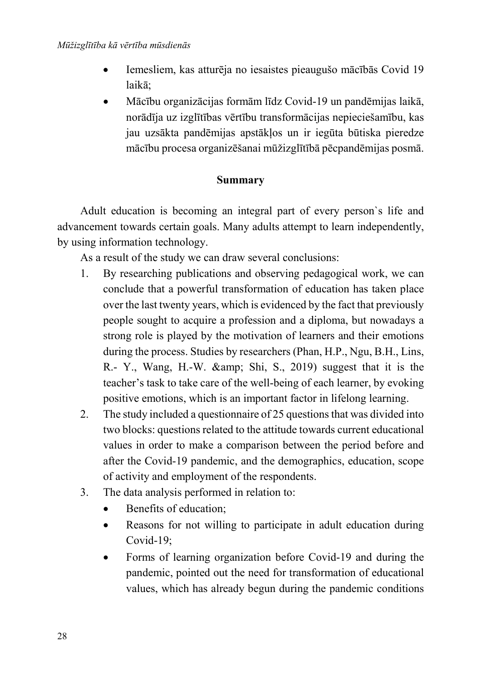- Iemesliem, kas atturēja no iesaistes pieaugušo mācībās Covid 19 laikā:
- Mācību organizācijas formām līdz Covid-19 un pandēmijas laikā, norādīja uz izglītības vērtību transformācijas nepieciešamību, kas jau uzsākta pandēmijas apstākļos un ir iegūta būtiska pieredze mācību procesa organizēšanai mūžizglītībā pēcpandēmijas posmā.

### **Summary**

Adult education is becoming an integral part of every person`s life and advancement towards certain goals. Many adults attempt to learn independently, by using information technology.

As a result of the study we can draw several conclusions:

- 1. By researching publications and observing pedagogical work, we can conclude that a powerful transformation of education has taken place over the last twenty years, which is evidenced by the fact that previously people sought to acquire a profession and a diploma, but nowadays a strong role is played by the motivation of learners and their emotions during the process. Studies by researchers (Phan, H.P., Ngu, B.H., Lins, R.- Y., Wang, H.-W. & amp; Shi, S., 2019) suggest that it is the teacher's task to take care of the well-being of each learner, by evoking positive emotions, which is an important factor in lifelong learning.
- 2. The study included a questionnaire of 25 questions that was divided into two blocks: questions related to the attitude towards current educational values in order to make a comparison between the period before and after the Covid-19 pandemic, and the demographics, education, scope of activity and employment of the respondents.
- 3. The data analysis performed in relation to:
	- $\bullet$  Benefits of education:
	- Reasons for not willing to participate in adult education during Covid-19;
	- Forms of learning organization before Covid-19 and during the pandemic, pointed out the need for transformation of educational values, which has already begun during the pandemic conditions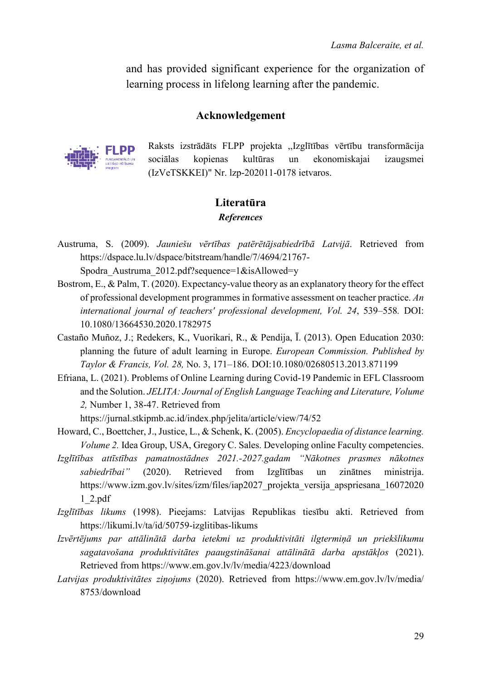and has provided significant experience for the organization of learning process in lifelong learning after the pandemic.

#### Acknowledgement



Raksts izstrādāts FLPP projekta "Izglītības vērtību transformācija kultūras  $un$ sociālas kopienas ekonomiskajai izaugsmei (IzVeTSKKEI)" Nr. lzp-202011-0178 ietvaros.

### Literatūra **References**

Austruma, S. (2009). Jauniešu vērtības patērētājsabiedrībā Latvijā. Retrieved from https://dspace.lu.lv/dspace/bitstream/handle/7/4694/21767-

Spodra Austruma 2012.pdf?sequence= $1&\text{dis}$ Allowed= $v$ 

- Bostrom, E., & Palm, T. (2020). Expectancy-value theory as an explanatory theory for the effect of professional development programmes in formative assessment on teacher practice. An international journal of teachers' professional development, Vol. 24, 539-558. DOI: 10.1080/13664530.2020.1782975
- Castaño Muñoz, J.; Redekers, K., Vuorikari, R., & Pendija, Ī. (2013). Open Education 2030: planning the future of adult learning in Europe. European Commission. Published by Taylor & Francis, Vol. 28, No. 3, 171-186. DOI:10.1080/02680513.2013.871199
- Efriana, L. (2021). Problems of Online Learning during Covid-19 Pandemic in EFL Classroom and the Solution. JELITA: Journal of English Language Teaching and Literature, Volume 2, Number 1, 38-47. Retrieved from

https://jurnal.stkipmb.ac.id/index.php/jelita/article/view/74/52

- Howard, C., Boettcher, J., Justice, L., & Schenk, K. (2005). Encyclopaedia of distance learning. *Volume 2.* Idea Group, USA, Gregory C. Sales. Developing online Faculty competencies.
- Izglītības attīstības pamatnostādnes 2021.-2027.gadam "Nākotnes prasmes nākotnes zinātnes sabiedrībai"  $(2020).$ Retrieved from **Izglītības**  $un$ ministrija. https://www.izm.gov.lv/sites/izm/files/iap2027 projekta versija apspriesana 16072020  $1$  2.pdf
- Izglītības likums (1998). Pieejams: Latvijas Republikas tiesību akti. Retrieved from https://likumi.lv/ta/id/50759-izglitibas-likums
- Izvērtējums par attālinātā darba ietekmi uz produktivitāti ilgtermiņā un priekšlikumu sagatavošana produktivitātes paaugstināšanai attālinātā darba apstākļos (2021). Retrieved from https://www.em.gov.lv/lv/media/4223/download
- Latvijas produktivitātes ziņojums (2020). Retrieved from https://www.em.gov.lv/lv/media/ 8753/download